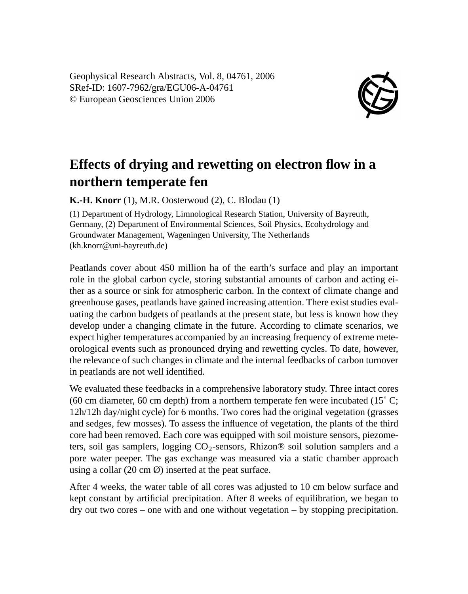Geophysical Research Abstracts, Vol. 8, 04761, 2006 SRef-ID: 1607-7962/gra/EGU06-A-04761 © European Geosciences Union 2006



## **Effects of drying and rewetting on electron flow in a northern temperate fen**

**K.-H. Knorr** (1), M.R. Oosterwoud (2), C. Blodau (1)

(1) Department of Hydrology, Limnological Research Station, University of Bayreuth, Germany, (2) Department of Environmental Sciences, Soil Physics, Ecohydrology and Groundwater Management, Wageningen University, The Netherlands (kh.knorr@uni-bayreuth.de)

Peatlands cover about 450 million ha of the earth's surface and play an important role in the global carbon cycle, storing substantial amounts of carbon and acting either as a source or sink for atmospheric carbon. In the context of climate change and greenhouse gases, peatlands have gained increasing attention. There exist studies evaluating the carbon budgets of peatlands at the present state, but less is known how they develop under a changing climate in the future. According to climate scenarios, we expect higher temperatures accompanied by an increasing frequency of extreme meteorological events such as pronounced drying and rewetting cycles. To date, however, the relevance of such changes in climate and the internal feedbacks of carbon turnover in peatlands are not well identified.

We evaluated these feedbacks in a comprehensive laboratory study. Three intact cores (60 cm diameter, 60 cm depth) from a northern temperate fen were incubated (15 $^{\circ}$  C; 12h/12h day/night cycle) for 6 months. Two cores had the original vegetation (grasses and sedges, few mosses). To assess the influence of vegetation, the plants of the third core had been removed. Each core was equipped with soil moisture sensors, piezometers, soil gas samplers, logging  $CO<sub>2</sub>$ -sensors, Rhizon® soil solution samplers and a pore water peeper. The gas exchange was measured via a static chamber approach using a collar  $(20 \text{ cm }\theta)$  inserted at the peat surface.

After 4 weeks, the water table of all cores was adjusted to 10 cm below surface and kept constant by artificial precipitation. After 8 weeks of equilibration, we began to dry out two cores – one with and one without vegetation – by stopping precipitation.